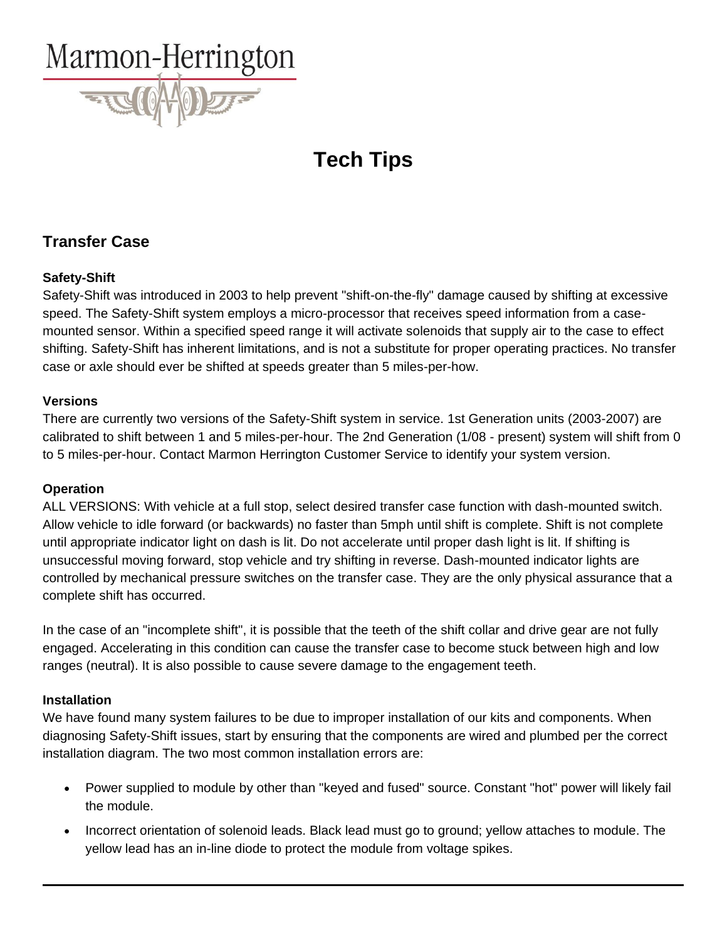

# **Tech Tips**

# **Transfer Case**

### **Safety-Shift**

Safety-Shift was introduced in 2003 to help prevent "shift-on-the-fly" damage caused by shifting at excessive speed. The Safety-Shift system employs a micro-processor that receives speed information from a casemounted sensor. Within a specified speed range it will activate solenoids that supply air to the case to effect shifting. Safety-Shift has inherent limitations, and is not a substitute for proper operating practices. No transfer case or axle should ever be shifted at speeds greater than 5 miles-per-how.

### **Versions**

There are currently two versions of the Safety-Shift system in service. 1st Generation units (2003-2007) are calibrated to shift between 1 and 5 miles-per-hour. The 2nd Generation (1/08 - present) system will shift from 0 to 5 miles-per-hour. Contact Marmon Herrington Customer Service to identify your system version.

# **Operation**

ALL VERSIONS: With vehicle at a full stop, select desired transfer case function with dash-mounted switch. Allow vehicle to idle forward (or backwards) no faster than 5mph until shift is complete. Shift is not complete until appropriate indicator light on dash is lit. Do not accelerate until proper dash light is lit. If shifting is unsuccessful moving forward, stop vehicle and try shifting in reverse. Dash-mounted indicator lights are controlled by mechanical pressure switches on the transfer case. They are the only physical assurance that a complete shift has occurred.

In the case of an "incomplete shift", it is possible that the teeth of the shift collar and drive gear are not fully engaged. Accelerating in this condition can cause the transfer case to become stuck between high and low ranges (neutral). It is also possible to cause severe damage to the engagement teeth.

#### **Installation**

We have found many system failures to be due to improper installation of our kits and components. When diagnosing Safety-Shift issues, start by ensuring that the components are wired and plumbed per the correct installation diagram. The two most common installation errors are:

- Power supplied to module by other than "keyed and fused" source. Constant "hot" power will likely fail the module.
- Incorrect orientation of solenoid leads. Black lead must go to ground; yellow attaches to module. The yellow lead has an in-line diode to protect the module from voltage spikes.